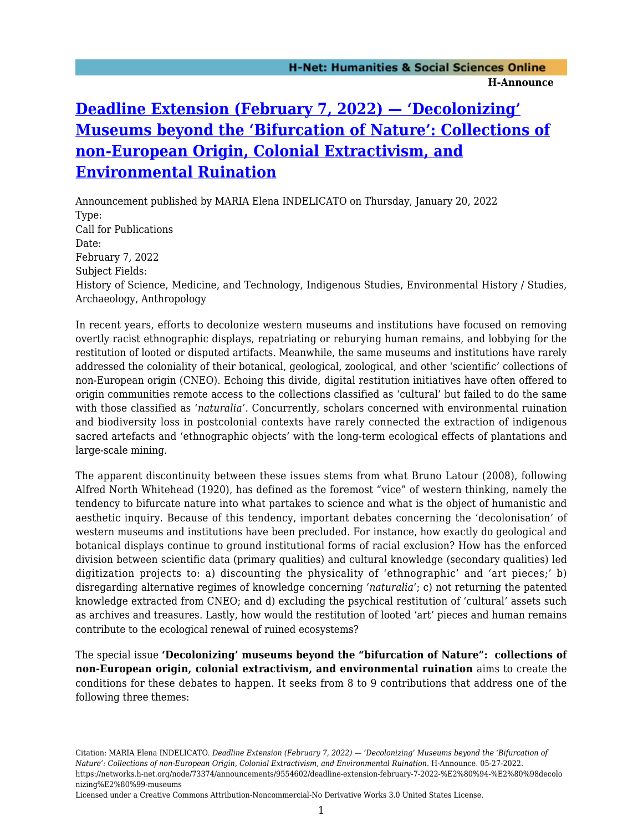## **[Deadline Extension \(February 7, 2022\) — 'Decolonizing'](https://networks.h-net.org/node/73374/announcements/9554602/deadline-extension-february-7-2022-%E2%80%94-%E2%80%98decolonizing%E2%80%99-museums) [Museums beyond the 'Bifurcation of Nature': Collections of](https://networks.h-net.org/node/73374/announcements/9554602/deadline-extension-february-7-2022-%E2%80%94-%E2%80%98decolonizing%E2%80%99-museums) [non-European Origin, Colonial Extractivism, and](https://networks.h-net.org/node/73374/announcements/9554602/deadline-extension-february-7-2022-%E2%80%94-%E2%80%98decolonizing%E2%80%99-museums) [Environmental Ruination](https://networks.h-net.org/node/73374/announcements/9554602/deadline-extension-february-7-2022-%E2%80%94-%E2%80%98decolonizing%E2%80%99-museums)**

Announcement published by MARIA Elena INDELICATO on Thursday, January 20, 2022 Type: Call for Publications Date: February 7, 2022 Subject Fields: History of Science, Medicine, and Technology, Indigenous Studies, Environmental History / Studies, Archaeology, Anthropology

In recent years, efforts to decolonize western museums and institutions have focused on removing overtly racist ethnographic displays, repatriating or reburying human remains, and lobbying for the restitution of looted or disputed artifacts. Meanwhile, the same museums and institutions have rarely addressed the coloniality of their botanical, geological, zoological, and other 'scientific' collections of non-European origin (CNEO). Echoing this divide, digital restitution initiatives have often offered to origin communities remote access to the collections classified as 'cultural' but failed to do the same with those classified as '*naturalia'*. Concurrently, scholars concerned with environmental ruination and biodiversity loss in postcolonial contexts have rarely connected the extraction of indigenous sacred artefacts and 'ethnographic objects' with the long-term ecological effects of plantations and large-scale mining.

The apparent discontinuity between these issues stems from what Bruno Latour (2008), following Alfred North Whitehead (1920), has defined as the foremost "vice" of western thinking, namely the tendency to bifurcate nature into what partakes to science and what is the object of humanistic and aesthetic inquiry. Because of this tendency, important debates concerning the 'decolonisation' of western museums and institutions have been precluded. For instance, how exactly do geological and botanical displays continue to ground institutional forms of racial exclusion? How has the enforced division between scientific data (primary qualities) and cultural knowledge (secondary qualities) led digitization projects to: a) discounting the physicality of 'ethnographic' and 'art pieces;' b) disregarding alternative regimes of knowledge concerning '*naturalia*'; c) not returning the patented knowledge extracted from CNEO; and d) excluding the psychical restitution of 'cultural' assets such as archives and treasures. Lastly, how would the restitution of looted 'art' pieces and human remains contribute to the ecological renewal of ruined ecosystems?

The special issue **'Decolonizing' museums beyond the "bifurcation of Nature": collections of non-European origin, colonial extractivism, and environmental ruination** aims to create the conditions for these debates to happen. It seeks from 8 to 9 contributions that address one of the following three themes:

Citation: MARIA Elena INDELICATO. *Deadline Extension (February 7, 2022) — 'Decolonizing' Museums beyond the 'Bifurcation of Nature': Collections of non-European Origin, Colonial Extractivism, and Environmental Ruination*. H-Announce. 05-27-2022. https://networks.h-net.org/node/73374/announcements/9554602/deadline-extension-february-7-2022-%E2%80%94-%E2%80%98decolo nizing%E2%80%99-museums

Licensed under a Creative Commons Attribution-Noncommercial-No Derivative Works 3.0 United States License.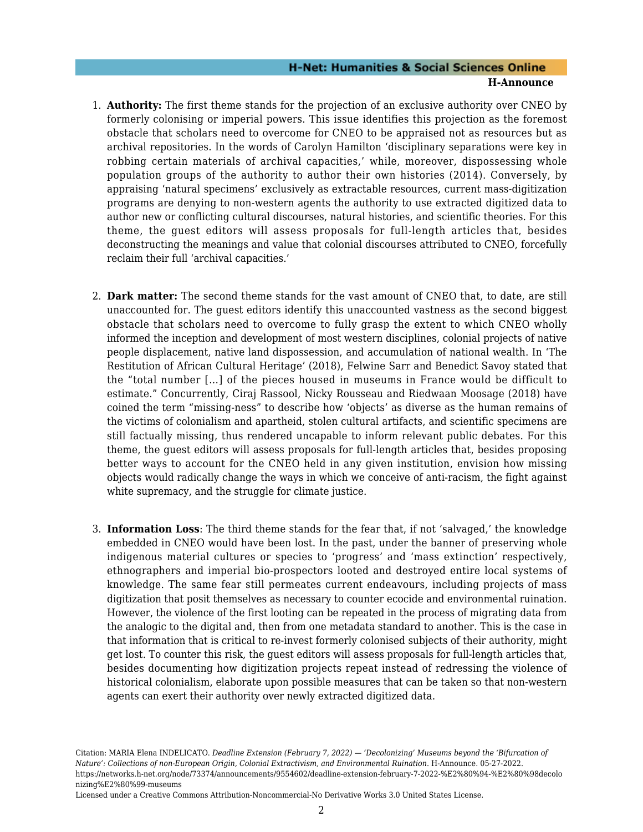## **H-Net: Humanities & Social Sciences Online H-Announce**

- 1. **Authority:** The first theme stands for the projection of an exclusive authority over CNEO by formerly colonising or imperial powers. This issue identifies this projection as the foremost obstacle that scholars need to overcome for CNEO to be appraised not as resources but as archival repositories. In the words of Carolyn Hamilton 'disciplinary separations were key in robbing certain materials of archival capacities,' while, moreover, dispossessing whole population groups of the authority to author their own histories (2014). Conversely, by appraising 'natural specimens' exclusively as extractable resources, current mass-digitization programs are denying to non-western agents the authority to use extracted digitized data to author new or conflicting cultural discourses, natural histories, and scientific theories. For this theme, the guest editors will assess proposals for full-length articles that, besides deconstructing the meanings and value that colonial discourses attributed to CNEO, forcefully reclaim their full 'archival capacities.'
- 2. **Dark matter:** The second theme stands for the vast amount of CNEO that, to date, are still unaccounted for. The guest editors identify this unaccounted vastness as the second biggest obstacle that scholars need to overcome to fully grasp the extent to which CNEO wholly informed the inception and development of most western disciplines, colonial projects of native people displacement, native land dispossession, and accumulation of national wealth. In 'The Restitution of African Cultural Heritage' (2018), Felwine Sarr and Benedict Savoy stated that the "total number […] of the pieces housed in museums in France would be difficult to estimate." Concurrently, Ciraj Rassool, Nicky Rousseau and Riedwaan Moosage (2018) have coined the term "missing-ness" to describe how 'objects' as diverse as the human remains of the victims of colonialism and apartheid, stolen cultural artifacts, and scientific specimens are still factually missing, thus rendered uncapable to inform relevant public debates. For this theme, the guest editors will assess proposals for full-length articles that, besides proposing better ways to account for the CNEO held in any given institution, envision how missing objects would radically change the ways in which we conceive of anti-racism, the fight against white supremacy, and the struggle for climate justice.
- 3. **Information Loss**: The third theme stands for the fear that, if not 'salvaged,' the knowledge embedded in CNEO would have been lost. In the past, under the banner of preserving whole indigenous material cultures or species to 'progress' and 'mass extinction' respectively, ethnographers and imperial bio-prospectors looted and destroyed entire local systems of knowledge. The same fear still permeates current endeavours, including projects of mass digitization that posit themselves as necessary to counter ecocide and environmental ruination. However, the violence of the first looting can be repeated in the process of migrating data from the analogic to the digital and, then from one metadata standard to another. This is the case in that information that is critical to re-invest formerly colonised subjects of their authority, might get lost. To counter this risk, the guest editors will assess proposals for full-length articles that, besides documenting how digitization projects repeat instead of redressing the violence of historical colonialism, elaborate upon possible measures that can be taken so that non-western agents can exert their authority over newly extracted digitized data.

Citation: MARIA Elena INDELICATO. *Deadline Extension (February 7, 2022) — 'Decolonizing' Museums beyond the 'Bifurcation of Nature': Collections of non-European Origin, Colonial Extractivism, and Environmental Ruination*. H-Announce. 05-27-2022. https://networks.h-net.org/node/73374/announcements/9554602/deadline-extension-february-7-2022-%E2%80%94-%E2%80%98decolo nizing%E2%80%99-museums

Licensed under a Creative Commons Attribution-Noncommercial-No Derivative Works 3.0 United States License.